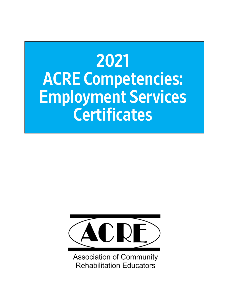# 2021 ACRE Competencies: Employment Services **Certificates**



**Association of Community Rehabilitation Educators**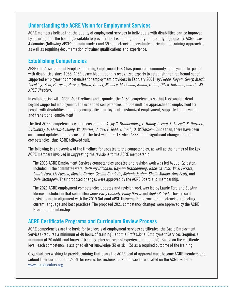### **Understanding the ACRE Vision for Employment Services**

ACRE members believe that the quality of employment services to individuals with disabilities can be improved by ensuring that the training available to provider staff is of a high quality. To quantify high quality, ACRE uses 4 domains (following APSE's domain model) and 39 competencies to evaluate curricula and training approaches, as well as requiring documentation of trainer qualifications and experience.

### **Establishing Competencies**

APSE (the Association of People Supporting Employment First) has promoted community employment for people with disabilities since 1988. APSE assembled nationally recognized experts to establish the first formal set of supported employment competencies for employment providers in February 2001 (*by Flippo, Rogan, Geary, Martin Luecking, Keul, Harrison, Harvey, Dutton, Drouet, Niemiec, McDonald, Killam, Quinn, DiLeo, Hoffman, and the NJ APSE Chapter*).

In collaboration with APSE, ACRE refined and expanded the APSE competencies so that they would extend beyond supported employment. The expanded competencies include multiple approaches to employment for people with disabilities, including competitive employment, customized employment, supported employment, and transitional employment.

The first ACRE competencies were released in 2004 (*by G. Brandenburg, L. Bandy, L. Ford, L. Fussell, S. Hartnett, L Holloway, D. Martin-Lueking, W. Quarles, C. Sax, P. Todd, J. Trach, D. Wilkerson*). Since then, there have been occasional updates made as needed. The first was in 2013 when APSE made significant changes in their competencies; thus ACRE followed suit.

The following is an overview of the timelines for updates to the competencies, as well as the names of the key ACRE members involved in suggesting the revisions to the ACRE membership:

The 2013 ACRE Employment Services competencies updates and revision work was led by Judi Goldston. Included in the committee were: *Bethany Bilodeau, Gayann Brandenburg, Rebecca Cook, Vicki Ferrara, Laurie Ford, Liz Fussell, Martha Garber, Cecilia Gandolfo, Melanie Jordan, Sheila Mahon, Amy Scott,* and *Dale Verstegen*). Their proposed changes were approved by the ACRE Board and membership.

The 2021 ACRE employment competencies updates and revision work was led by Laurie Ford and SueAnn Morrow. Included in that committee were: *Patty Cassidy, Emily Harris* and *Adele Patrick*. These recent revisions are in alignment with the 2019 National APSE Universal Employment competencies, reflecting current language and best practices. The proposed 2021 competency changes were approved by the ACRE Board and membership.

### **ACRE Certificate Programs and Curriculum Review Process**

ACRE competencies are the basis for two levels of employment services certificates: the Basic Employment Services (requires a minimum of 40 hours of training), and the Professional Employment Services (requires a minimum of 20 additional hours of training, plus one year of experience in the field). Based on the certificate level, each competency is assigned either knowledge (K) or skill (S) as a required outcome of the training.

Organizations wishing to provide training that bears the ACRE seal of approval must become ACRE members and submit their curriculum to ACRE for review. Instructions for submission are located on the ACRE website: [www.acreducators.org](http://www.acreducators.org)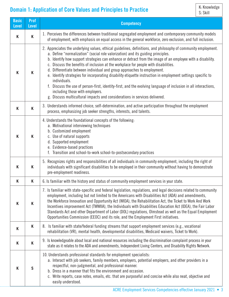## **Domain 1: Application of Core Values and Principles to Practice**

| <b>Basic</b><br><b>Level</b> | <b>Prof</b><br><b>Level</b>                                                                                                                                                                                                                                                                                                                                                                                                                                                                                                                                                                                                                                                                                                                                                                                                                                 | <b>Competency</b>                                                                                                                                                                                                                                                                                                                                                                                                                                                                                                                                                                                                                                    |  |  |  |
|------------------------------|-------------------------------------------------------------------------------------------------------------------------------------------------------------------------------------------------------------------------------------------------------------------------------------------------------------------------------------------------------------------------------------------------------------------------------------------------------------------------------------------------------------------------------------------------------------------------------------------------------------------------------------------------------------------------------------------------------------------------------------------------------------------------------------------------------------------------------------------------------------|------------------------------------------------------------------------------------------------------------------------------------------------------------------------------------------------------------------------------------------------------------------------------------------------------------------------------------------------------------------------------------------------------------------------------------------------------------------------------------------------------------------------------------------------------------------------------------------------------------------------------------------------------|--|--|--|
| K                            | K                                                                                                                                                                                                                                                                                                                                                                                                                                                                                                                                                                                                                                                                                                                                                                                                                                                           | 1. Perceives the differences between traditional segregated employment and contemporary community models<br>of employment, with emphasis on equal access in the general workforce, zero exclusion, and full inclusion.                                                                                                                                                                                                                                                                                                                                                                                                                               |  |  |  |
| K                            | 2. Appreciates the underlying values, ethical guidelines, definitions, and philosophy of community employment.<br>a. Define "normalization" (social role valorization) and its guiding principles.<br>b. Identify how support strategies can enhance or detract from the image of an employee with a disability.<br>c. Discuss the benefits of inclusion at the workplace for people with disabilities.<br>d. Differentiate between individual and group approaches to employment.<br>K<br>e. Identify strategies for incorporating disability etiquette instruction in employment settings specific to<br>individuals.<br>f. Discuss the use of person-first, identity-first, and the evolving language of inclusion in all interactions,<br>including those with employers.<br>g. Discuss multicultural impacts and considerations in services delivered. |                                                                                                                                                                                                                                                                                                                                                                                                                                                                                                                                                                                                                                                      |  |  |  |
| K                            | K                                                                                                                                                                                                                                                                                                                                                                                                                                                                                                                                                                                                                                                                                                                                                                                                                                                           | 3. Understands informed choice, self-determination, and active participation throughout the employment<br>process, emphasizing job seeker strengths, interests, and talents.                                                                                                                                                                                                                                                                                                                                                                                                                                                                         |  |  |  |
| K                            | K                                                                                                                                                                                                                                                                                                                                                                                                                                                                                                                                                                                                                                                                                                                                                                                                                                                           | 4. Understands the foundational concepts of the following:<br>a. Motivational interviewing techniques<br>b. Customized employment<br>c. Use of natural supports<br>d. Supported employment<br>e. Evidence-based practices<br>f. Transition and school-to-work school-to-postsecondary practices                                                                                                                                                                                                                                                                                                                                                      |  |  |  |
| K                            | K                                                                                                                                                                                                                                                                                                                                                                                                                                                                                                                                                                                                                                                                                                                                                                                                                                                           | 5. Recognizes rights and responsibilities of all individuals in community employment, including the right of<br>individuals with significant disabilities to be employed in their community without having to demonstrate<br>pre-employment readiness.                                                                                                                                                                                                                                                                                                                                                                                               |  |  |  |
| K                            | Κ                                                                                                                                                                                                                                                                                                                                                                                                                                                                                                                                                                                                                                                                                                                                                                                                                                                           | 6. Is familiar with the history and status of community employment services in your state.                                                                                                                                                                                                                                                                                                                                                                                                                                                                                                                                                           |  |  |  |
| K                            | K                                                                                                                                                                                                                                                                                                                                                                                                                                                                                                                                                                                                                                                                                                                                                                                                                                                           | 7. Is familiar with state-specific and federal legislation, regulations, and legal decisions related to community<br>employment, including but not limited to the Americans with Disabilities Act (ADA) and amendments,<br>the Workforce Innovation and Opportunity Act (WIOA), the Rehabilitation Act, the Ticket to Work And Work<br>Incentives improvement Act (TWWIIA), the Individuals with Disabilities Education Act (IDEA), the Fair Labor<br>Standards Act and other Department of Labor (DOL) regulations, Olmstead as well as the Equal Employment<br>Opportunities Commission (EEOC) and its role, and the Employment First initiatives. |  |  |  |
| K                            | K                                                                                                                                                                                                                                                                                                                                                                                                                                                                                                                                                                                                                                                                                                                                                                                                                                                           | 8. Is familiar with state/federal funding streams that support employment services (e.g., vocational<br>rehabilitation (VR), mental health, developmental disabilities, Medicaid waivers, Ticket to Work).                                                                                                                                                                                                                                                                                                                                                                                                                                           |  |  |  |
| K                            | K                                                                                                                                                                                                                                                                                                                                                                                                                                                                                                                                                                                                                                                                                                                                                                                                                                                           | 9. Is knowledgeable about local and national resources including the discrimination complaint process in your<br>state as it relates to the ADA and amendments, Independent Living Centers, and Disability Rights Network.                                                                                                                                                                                                                                                                                                                                                                                                                           |  |  |  |
| K                            | $\mathsf{S}$                                                                                                                                                                                                                                                                                                                                                                                                                                                                                                                                                                                                                                                                                                                                                                                                                                                | 10. Understands professional standards for employment specialists:<br>a. Interact with job seekers, family members, employers, potential employers, and other providers in a<br>respectful, non-judgmental, and professional manner.<br>b. Dress in a manner that fits the environment and occasion.<br>c. Write reports, case notes, emails, etc. that are purposeful and concise while also neat, objective and<br>easily understood.                                                                                                                                                                                                              |  |  |  |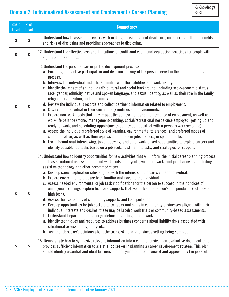# **Domain 2: Individualized Assessment and Employment / Career Planning**

| <b>Basic</b><br><b>Level</b> | <b>Prof</b><br><b>Level</b> | <b>Competency</b>                                                                                                                                                                                                                                                                                                                                                                                                                                                                                                                                                                                                                                                                                                                                                                                                                                                                                                                                                                                                                                                                                                                                                                                                                                                                                                                                                                                                                                                                        |  |  |
|------------------------------|-----------------------------|------------------------------------------------------------------------------------------------------------------------------------------------------------------------------------------------------------------------------------------------------------------------------------------------------------------------------------------------------------------------------------------------------------------------------------------------------------------------------------------------------------------------------------------------------------------------------------------------------------------------------------------------------------------------------------------------------------------------------------------------------------------------------------------------------------------------------------------------------------------------------------------------------------------------------------------------------------------------------------------------------------------------------------------------------------------------------------------------------------------------------------------------------------------------------------------------------------------------------------------------------------------------------------------------------------------------------------------------------------------------------------------------------------------------------------------------------------------------------------------|--|--|
| $\mathsf{S}$                 | $\mathsf{S}$                | 11. Understand how to assist job seekers with making decisions about disclosure, considering both the benefits<br>and risks of disclosing and providing approaches to disclosing.                                                                                                                                                                                                                                                                                                                                                                                                                                                                                                                                                                                                                                                                                                                                                                                                                                                                                                                                                                                                                                                                                                                                                                                                                                                                                                        |  |  |
| Κ                            | K                           | 12. Understand the effectiveness and limitations of traditional vocational evaluation practices for people with<br>significant disabilities.                                                                                                                                                                                                                                                                                                                                                                                                                                                                                                                                                                                                                                                                                                                                                                                                                                                                                                                                                                                                                                                                                                                                                                                                                                                                                                                                             |  |  |
| S                            | $\mathsf{S}$                | 13. Understand the personal career profile development process:<br>a. Encourage the active participation and decision-making of the person served in the career planning<br>process.<br>b. Interview the individual and others familiar with their abilities and work history.<br>c. Identify the impact of an individual's cultural and social background, including socio-economic status,<br>race, gender, ethnicity, native and spoken language, and sexual identity, as well as their role in the family,<br>religious organization, and community.<br>d. Review the individual's records and collect pertinent information related to employment.<br>e. Observe the individual in their current daily routines and environments.<br>f. Explore non-work needs that may impact the achievement and maintenance of employment, as well as<br>work-life balance (money management/banking, social/recreational needs once employed, getting up and<br>ready for work, and scheduling appointments so they don't conflict with a person's work schedule).<br>g. Assess the individual's preferred style of learning, environmental tolerances, and preferred modes of<br>communication, as well as their expressed interests in jobs, careers, or specific tasks.<br>h. Use informational interviewing, job shadowing, and other work-based opportunities to explore careers and<br>identify possible job tasks based on a job seeker's skills, interests, and strategies for support. |  |  |
| S                            | S                           | 14. Understand how to identify opportunities for new activities that will inform the initial career planning process<br>such as situational assessments, paid work trials, job tryouts, volunteer work, and job shadowing, including<br>assistive technology and other accommodations:<br>a. Develop career exploration sites aligned with the interests and desires of each individual.<br>b. Explore environments that are both familiar and novel to the individual.<br>c. Assess needed environmental or job task modifications for the person to succeed in their choices of<br>employment settings. Explore tools and supports that would foster a person's independence (both low and<br>high tech).<br>d. Assess the availability of community supports and transportation.<br>e. Develop opportunities for job seekers to try tasks and skills in community businesses aligned with their<br>individual interests and desires; these may be labeled work trials or community-based assessments.<br>f. Understand Department of Labor guidelines regarding unpaid work.<br>g. Identify techniques and resources to address business concerns about liability risks associated with<br>situational assessments/job tryouts.<br>h. Ask the job seeker's opinions about the tasks, skills, and business setting being sampled.                                                                                                                                                      |  |  |
| S                            | $\mathsf{S}$                | 15. Demonstrate how to synthesize relevant information into a comprehensive, non-evaluative document that<br>provides sufficient information to assist a job seeker in planning a career development strategy. This plan<br>should identify essential and ideal features of employment and be reviewed and approved by the job seeker.                                                                                                                                                                                                                                                                                                                                                                                                                                                                                                                                                                                                                                                                                                                                                                                                                                                                                                                                                                                                                                                                                                                                                   |  |  |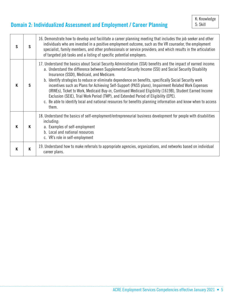# **Domain 2: Individualized Assessment and Employment / Career Planning**

| S | 16. Demonstrate how to develop and facilitate a career planning meeting that includes the job seeker and other<br>individuals who are invested in a positive employment outcome, such as the VR counselor, the employment<br>S<br>specialist, family members, and other professionals or service providers; and which results in the articulation<br>of targeted job tasks and a listing of specific potential employers. |                                                                                                                                                                                                                                                                                                                                                                                                                                                                                                                                                                                                                                                                                                                                                                                                                     |  |  |
|---|---------------------------------------------------------------------------------------------------------------------------------------------------------------------------------------------------------------------------------------------------------------------------------------------------------------------------------------------------------------------------------------------------------------------------|---------------------------------------------------------------------------------------------------------------------------------------------------------------------------------------------------------------------------------------------------------------------------------------------------------------------------------------------------------------------------------------------------------------------------------------------------------------------------------------------------------------------------------------------------------------------------------------------------------------------------------------------------------------------------------------------------------------------------------------------------------------------------------------------------------------------|--|--|
| K | S                                                                                                                                                                                                                                                                                                                                                                                                                         | 17. Understand the basics about Social Security Administration (SSA) benefits and the impact of earned income:<br>a. Understand the difference between Supplemental Security Income (SSI) and Social Security Disability<br>Insurance (SSDI), Medicaid, and Medicare.<br>b. Identify strategies to reduce or eliminate dependence on benefits, specifically Social Security work<br>incentives such as Plans for Achieving Self-Support (PASS plans), Impairment Related Work Expenses<br>(IRWEs), Ticket to Work, Medicaid Buy-in, Continued Medicaid Eligibility (1619B), Student Earned Income<br>Exclusion (SEIE), Trial Work Period (TWP), and Extended Period of Eligibility (EPE).<br>c. Be able to identify local and national resources for benefits planning information and know when to access<br>them. |  |  |
| K | K                                                                                                                                                                                                                                                                                                                                                                                                                         | 18. Understand the basics of self-employment/entrepreneurial business development for people with disabilities<br>including:<br>a. Examples of self-employment<br>b. Local and national resources<br>c. VR's role in self-employment                                                                                                                                                                                                                                                                                                                                                                                                                                                                                                                                                                                |  |  |
| K | K                                                                                                                                                                                                                                                                                                                                                                                                                         | 19. Understand how to make referrals to appropriate agencies, organizations, and networks based on individual<br>career plans.                                                                                                                                                                                                                                                                                                                                                                                                                                                                                                                                                                                                                                                                                      |  |  |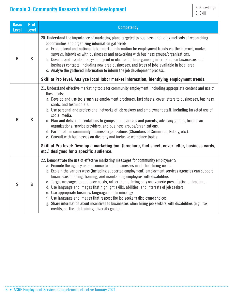**Basic Level**

**Prof** 

|   | S<br>K<br>b. Develop and maintain a system (print or electronic) for organizing information on businesses and<br>business contacts, including new area businesses, and types of jobs available in local area.<br>c. Analyze the gathered information to inform the job development process. |                                                                                                                                                                                                                                                                                                                                                                                                                                                                                                                                                                                                                                                                                                                                                                                                                                                                                                          |  |  |  |
|---|---------------------------------------------------------------------------------------------------------------------------------------------------------------------------------------------------------------------------------------------------------------------------------------------|----------------------------------------------------------------------------------------------------------------------------------------------------------------------------------------------------------------------------------------------------------------------------------------------------------------------------------------------------------------------------------------------------------------------------------------------------------------------------------------------------------------------------------------------------------------------------------------------------------------------------------------------------------------------------------------------------------------------------------------------------------------------------------------------------------------------------------------------------------------------------------------------------------|--|--|--|
|   |                                                                                                                                                                                                                                                                                             | Skill at Pro level: Analyze local labor market information, identifying employment trends.                                                                                                                                                                                                                                                                                                                                                                                                                                                                                                                                                                                                                                                                                                                                                                                                               |  |  |  |
| K | S                                                                                                                                                                                                                                                                                           | 21. Understand effective marketing tools for community employment, including appropriate content and use of<br>these tools:<br>a. Develop and use tools such as employment brochures, fact sheets, cover letters to businesses, business<br>cards, and testimonials.<br>b. Use personal and professional networks of job seekers and employment staff, including targeted use of<br>social media.<br>c. Plan and deliver presentations to groups of individuals and parents, advocacy groups, local civic<br>organizations, service providers, and business groups/organizations.<br>d. Participate in community business organizations (Chambers of Commerce, Rotary, etc.).<br>e. Consult with businesses on diversity and inclusive workplace topics.<br>Skill at Pro level: Develop a marketing tool (brochure, fact sheet, cover letter, business cards,<br>etc.) designed for a specific audience. |  |  |  |
| S | $\mathsf{S}$                                                                                                                                                                                                                                                                                | 22. Demonstrate the use of effective marketing messages for community employment:<br>a. Promote the agency as a resource to help businesses meet their hiring needs.<br>b. Explain the various ways (including supported employment) employment services agencies can support<br>businesses in hiring, training, and maintaining employees with disabilities.<br>c. Target messages to audience needs, rather than offering only one generic presentation or brochure.<br>d. Use language and images that highlight skills, abilities, and interests of job seekers.<br>e. Use appropriate business language and terminology.<br>f. Use language and images that respect the job seeker's disclosure choices.<br>g. Share information about incentives to businesses when hiring job seekers with disabilities (e.g., tax<br>credits, on-the-job training, diversity goals).                             |  |  |  |

20. Understand the importance of marketing plans targeted to business, including methods of researching

a. Explore local and national labor market information for employment trends via the internet, market

surveys, interviews with businesses and networking with business groups/organizations.

K: Knowledge<br>S: Skill

### **Domain 3: Community Research and Job Development**

**Level Competency**

opportunities and organizing information gathered: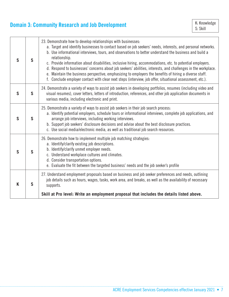# **Domain 3: Community Research and Job Development**

| S | 23. Demonstrate how to develop relationships with businesses:<br>a. Target and identify businesses to contact based on job seekers' needs, interests, and personal networks.<br>b. Use informational interviews, tours, and observations to better understand the business and build a<br>relationship.<br>$\mathsf{S}$<br>c. Provide information about disabilities, inclusive hiring, accommodations, etc. to potential employers.<br>d. Respond to businesses' concerns about job seekers' abilities, interests, and challenges in the workplace.<br>e. Maintain the business perspective, emphasizing to employers the benefits of hiring a diverse staff.<br>f. Conclude employer contact with clear next steps (interview, job offer, situational assessment, etc.). |                                                                                                                                                                                                                                                                                                                                                                                                                                                    |  |  |  |
|---|----------------------------------------------------------------------------------------------------------------------------------------------------------------------------------------------------------------------------------------------------------------------------------------------------------------------------------------------------------------------------------------------------------------------------------------------------------------------------------------------------------------------------------------------------------------------------------------------------------------------------------------------------------------------------------------------------------------------------------------------------------------------------|----------------------------------------------------------------------------------------------------------------------------------------------------------------------------------------------------------------------------------------------------------------------------------------------------------------------------------------------------------------------------------------------------------------------------------------------------|--|--|--|
| S | $\mathsf{S}$                                                                                                                                                                                                                                                                                                                                                                                                                                                                                                                                                                                                                                                                                                                                                               | 24. Demonstrate a variety of ways to assist job seekers in developing portfolios, resumes (including video and<br>visual resumes), cover letters, letters of introduction, references, and other job application documents in<br>various media, including electronic and print.                                                                                                                                                                    |  |  |  |
| S | $\mathsf{S}$                                                                                                                                                                                                                                                                                                                                                                                                                                                                                                                                                                                                                                                                                                                                                               | 25. Demonstrate a variety of ways to assist job seekers in their job search process:<br>a. Identify potential employers, schedule tours or informational interviews, complete job applications, and<br>arrange job interviews, including working interviews.<br>b. Support job seekers' disclosure decisions and advise about the best disclosure practices.<br>c. Use social media/electronic media, as well as traditional job search resources. |  |  |  |
| S | 26. Demonstrate how to implement multiple job matching strategies:<br>a. Identify/clarify existing job descriptions.<br>b. Identify/clarify unmet employer needs.<br>$\mathsf{S}$<br>c. Understand workplace cultures and climates.<br>d. Consider transportation options.<br>e. Evaluate the fit between the targeted business' needs and the job seeker's profile<br>27. Understand employment proposals based on business and job seeker preferences and needs, outlining<br>job details such as hours, wages, tasks, work area, and breaks, as well as the availability of necessary<br>K<br>$\mathsf{S}$<br>supports.<br>Skill at Pro level: Write an employment proposal that includes the details listed above.                                                     |                                                                                                                                                                                                                                                                                                                                                                                                                                                    |  |  |  |
|   |                                                                                                                                                                                                                                                                                                                                                                                                                                                                                                                                                                                                                                                                                                                                                                            |                                                                                                                                                                                                                                                                                                                                                                                                                                                    |  |  |  |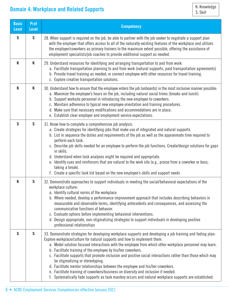## **Domain 4: Workplace and Related Supports**

| <b>Basic</b><br><b>Level</b>                                                                                                                                                                                                                                                                                                                                               | <b>Prof</b><br><b>Level</b> | <b>Competency</b>                                                                                                                                                                                                                                                                                                                                                                                                                                                                                                                                                                                                                                                                                                  |  |  |
|----------------------------------------------------------------------------------------------------------------------------------------------------------------------------------------------------------------------------------------------------------------------------------------------------------------------------------------------------------------------------|-----------------------------|--------------------------------------------------------------------------------------------------------------------------------------------------------------------------------------------------------------------------------------------------------------------------------------------------------------------------------------------------------------------------------------------------------------------------------------------------------------------------------------------------------------------------------------------------------------------------------------------------------------------------------------------------------------------------------------------------------------------|--|--|
| $\mathsf{S}$                                                                                                                                                                                                                                                                                                                                                               | $\mathsf{S}$                | 28. When support is required on the job, be able to partner with the job seeker to negotiate a support plan<br>with the employer that offers access to all of the naturally-existing features of the workplace and utilizes<br>the employer/coworkers as primary trainers to the maximum extent possible, offering the assistance of<br>employment specialists/job coaches to provide additional support as needed.                                                                                                                                                                                                                                                                                                |  |  |
| K<br>K<br>29. Understand resources for identifying and arranging transportation to and from work:<br>c. Explore creative transportation solutions.                                                                                                                                                                                                                         |                             | a. Facilitate transportation planning to and from work (natural supports, paid transportation agreements)<br>b. Provide travel training as needed; or connect employee with other resources for travel training.                                                                                                                                                                                                                                                                                                                                                                                                                                                                                                   |  |  |
| K                                                                                                                                                                                                                                                                                                                                                                          | K                           | 30. Understand how to ensure that the employee enters the job (onboards) in the most inclusive manner possible:<br>a. Maximize the employee's hours on the job, including natural social times (breaks and lunch).<br>b. Support worksite personnel in introducing the new employee to coworkers.<br>c. Maintain adherence to typical new employee orientation and training procedures.<br>d. Make sure that necessary modifications and accommodations are in place.<br>e. Establish clear employer and employment service expectations.                                                                                                                                                                          |  |  |
| $\mathsf{S}$                                                                                                                                                                                                                                                                                                                                                               | $\mathsf{S}$                | 31. Know how to complete a comprehensive job analysis:<br>a. Create strategies for identifying jobs that make use of integrated and natural supports.<br>b. List in sequence the duties and requirements of the job as well as the approximate time required to<br>perform each task.<br>c. Describe job skills needed for an employee to perform the job functions. Create/design solutions for gaps<br>in skills.<br>d. Understand when task analyses might be required and appropriate.<br>e. Identify cues and reinforcers that are natural to the work site (e.g., praise from a coworker or boss;<br>taking a break).<br>f. Create a specific task list based on the new employee's skills and support needs |  |  |
| Κ                                                                                                                                                                                                                                                                                                                                                                          | S                           | 32. Demonstrate approaches to support individuals in meeting the social/behavioral expectations of the<br>workplace culture:<br>a. Identify cultural norms of the workplace.<br>b. Where needed, develop a performance improvement approach that includes describing behaviors in<br>measurable and observable terms, identifying antecedents and consequences, and assessing the<br>communicative functions of behavior.<br>c. Evaluate options before implementing behavioral interventions.<br>d. Design appropriate, non-stigmatizing strategies to support individuals in developing positive<br>professional relationships                                                                                   |  |  |
| S<br>$\mathsf{S}$<br>Explore workplace/culture for natural supports and how to implement them.<br>b. Facilitate training of the employee by his/her coworkers.<br>be stigmatizing or stereotyping.<br>d. Facilitate mentor relationships between the employee and his/her coworkers.<br>e. Facilitate training of coworkers/business on diversity and inclusion if needed. |                             | 33. Demonstrate strategies for developing workplace supports and developing a job training and fading plan:<br>a. Model solution focused interactions with the employee from which other workplace personnel may learn.<br>c. Facilitate supports that promote inclusion and positive social interactions rather than those which may<br>f. Systematically fade supports as task mastery occurs and natural workplace supports are established.                                                                                                                                                                                                                                                                    |  |  |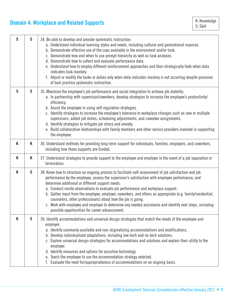# **Domain 4: Workplace and Related Supports**

| $\mathsf{S}$ | $\mathsf{S}$                                                                                                                                                                                                                                                                                                                                                                                                                                                                                                                                                                                                                                                                                         | 34. Be able to develop and provide systematic instruction:<br>a. Understand individual learning styles and needs, including cultural and generational nuances.<br>b. Demonstrate effective use of the cues available in the environment and/or task.<br>c. Demonstrate how and when to use prompt hierarchy as well as task analyses.<br>d. Demonstrate how to collect and evaluate performance data.<br>e. Understand how to employ different reinforcement approaches and then strategically fade when data<br>indicates task mastery.<br>f. Adjust or modify the tasks or duties only when data indicates mastery is not occurring despite provision<br>of best practice systematic instruction. |
|--------------|------------------------------------------------------------------------------------------------------------------------------------------------------------------------------------------------------------------------------------------------------------------------------------------------------------------------------------------------------------------------------------------------------------------------------------------------------------------------------------------------------------------------------------------------------------------------------------------------------------------------------------------------------------------------------------------------------|-----------------------------------------------------------------------------------------------------------------------------------------------------------------------------------------------------------------------------------------------------------------------------------------------------------------------------------------------------------------------------------------------------------------------------------------------------------------------------------------------------------------------------------------------------------------------------------------------------------------------------------------------------------------------------------------------------|
| $\mathsf{S}$ | $\mathsf{S}$<br>35. Maximize the employee's job performance and social integration to achieve job stability:<br>a. In partnership with supervisor/coworkers, develop strategies to increase the employee's productivity/<br>efficiency.<br>b. Assist the employee in using self-regulation strategies.<br>c. Identify strategies to increase the employee's tolerance to workplace changes such as new or multiple<br>supervisors, added job duties, scheduling adjustments, and coworker assignments.<br>d. Identify strategies to mitigate job stress and anxiety.<br>e. Build collaborative relationships with family members and other service providers involved in supporting<br>the employee. |                                                                                                                                                                                                                                                                                                                                                                                                                                                                                                                                                                                                                                                                                                     |
| K            | Κ                                                                                                                                                                                                                                                                                                                                                                                                                                                                                                                                                                                                                                                                                                    | 36. Understand methods for providing long-term support for individuals, families, employers, and coworkers,<br>including how these supports are funded.                                                                                                                                                                                                                                                                                                                                                                                                                                                                                                                                             |
| K            | K                                                                                                                                                                                                                                                                                                                                                                                                                                                                                                                                                                                                                                                                                                    | 37. Understand strategies to provide support to the employee and employer in the event of a job separation or<br>termination.                                                                                                                                                                                                                                                                                                                                                                                                                                                                                                                                                                       |
| K            | $\mathsf{S}$                                                                                                                                                                                                                                                                                                                                                                                                                                                                                                                                                                                                                                                                                         | 38. Know how to structure an ongoing process to facilitate self-assessment of job satisfaction and job<br>performance by the employee, assess the supervisor's satisfaction with employee performance, and<br>determine additional or different support needs:<br>a. Conduct onsite observations to evaluate job performance and workplace support.<br>b. Gather input from the employee, employer, coworkers, and others as appropriate (e.g. family/residential,<br>counselors, other professionals) about how the job is going.<br>c. Work with employee and employer to determine any needed assistance and identify next steps, including<br>possible opportunities for career advancement.    |
| K            | $\mathsf{S}$                                                                                                                                                                                                                                                                                                                                                                                                                                                                                                                                                                                                                                                                                         | 39. Identify accommodations and universal design strategies that match the needs of the employee and<br>employer:<br>a. Identify commonly available and non-stigmatizing accommodations and modifications.<br>b. Develop individualized adaptations, including low-tech and no-tech solutions.<br>c. Explore universal design strategies for accommodations and solutions and explain their utility to the<br>employer.<br>d. Identify resources and options for assistive technology.<br>e. Teach the employee to use the accommodation strategy selected.<br>f. Evaluate the need for/appropriateness of accommodations on an ongoing basis.                                                      |